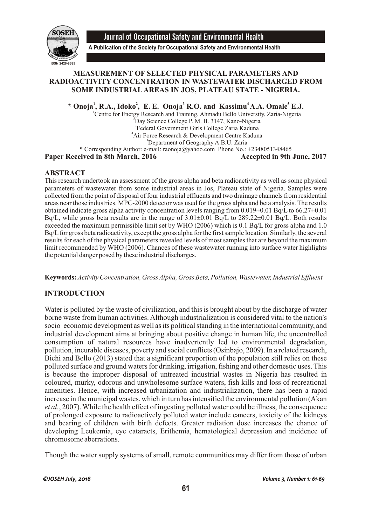

Journal of Occupational Safety and Environmental Health

**A Publication of the Society for Occupational Safety and Environmental Health**

### **MEASUREMENT OF SELECTED PHYSICAL PARAMETERS AND RADIOACTIVITY CONCENTRATION IN WASTEWATER DISCHARGED FROM SOME INDUSTRIALAREAS IN JOS, PLATEAU STATE - NIGERIA.**

**<sup>1</sup> <sup>2</sup> 3 4 5 \* Onoja , R.A., Idoko , E. E. Onoja R.O. and Kassimu A.A. Omale E.J.**

<sup>1</sup>Centre for Energy Research and Training, Ahmadu Bello University, Zaria-Nigeria  $2D$ ay Science College P. M. B. 3147, Kano-Nigeria 3 Federal Government Girls College Zaria Kaduna <sup>4</sup>Air Force Research & Development Centre Kaduna <sup>5</sup>Department of Geography A.B.U. Zaria \* Corresponding Author: e-mail: raonoja@yahoo.com Phone No.: +2348051348465

**Paper Received in 8th March, 2016** Accepted in 9th June, 2017

# **ABSTRACT**

This research undertook an assessment of the gross alpha and beta radioactivity as well as some physical parameters of wastewater from some industrial areas in Jos, Plateau state of Nigeria. Samples were collected from the point of disposal of four industrial effluents and two drainage channels from residential areas near those industries. MPC-2000 detector was used for the gross alpha and beta analysis. The results obtained indicate gross alpha activity concentration levels ranging from  $0.019\pm0.01$  Bq/L to 66.27 $\pm0.01$ Bq/L, while gross beta results are in the range of  $3.01\pm0.01$  Bq/L to  $289.22\pm0.01$  Bq/L. Both results exceeded the maximum permissible limit set by WHO (2006) which is 0.1 Bq/L for gross alpha and 1.0 Bq/L for gross beta radioactivity, except the gross alpha for the first sample location. Similarly, the several results for each of the physical parameters revealed levels of most samples that are beyond the maximum limit recommended by WHO (2006). Chances of these wastewater running into surface water highlights the potential danger posed by these industrial discharges.

**Keywords:***Activity Concentration, Gross Alpha, Gross Beta, Pollution, Wastewater, Industrial Effluent*

# **INTRODUCTION**

Water is polluted by the waste of civilization, and this is brought about by the discharge of water borne waste from human activities. Although industrialization is considered vital to the nation's socio economic development as well as its political standing in the international community, and industrial development aims at bringing about positive change in human life, the uncontrolled consumption of natural resources have inadvertently led to environmental degradation, pollution, incurable diseases, poverty and social conflicts (Osinbajo, 2009). In a related research, Bichi and Bello (2013) stated that a significant proportion of the population still relies on these polluted surface and ground waters for drinking, irrigation, fishing and other domestic uses. This is because the improper disposal of untreated industrial wastes in Nigeria has resulted in coloured, murky, odorous and unwholesome surface waters, fish kills and loss of recreational amenities. Hence, with increased urbanization and industrialization, there has been a rapid increase in the municipal wastes, which in turn has intensified the environmental pollution (Akan *et al.*, 2007). While the health effect of ingesting polluted water could be illness, the consequence of prolonged exposure to radioactively polluted water include cancers, toxicity of the kidneys and bearing of children with birth defects. Greater radiation dose increases the chance of developing Leukemia, eye cataracts, Erithemia, hematological depression and incidence of chromosome aberrations.

Though the water supply systems of small, remote communities may differ from those of urban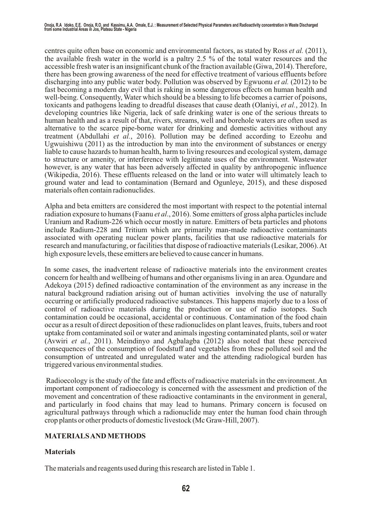centres quite often base on economic and environmental factors, as stated by Ross *et al.* (2011), the available fresh water in the world is a paltry 2.5 % of the total water resources and the accessible fresh water is an insignificant chunk of the fraction available (Giwa, 2014). Therefore, there has been growing awareness of the need for effective treatment of various effluents before discharging into any public water body. Pollution was observed by Egwuonu *et al.* (2012) to be fast becoming a modern day evil that is raking in some dangerous effects on human health and well-being. Consequently, Water which should be a blessing to life becomes a carrier of poisons, toxicants and pathogens leading to dreadful diseases that cause death (Olaniyi, *et al.*, 2012). In developing countries like Nigeria, lack of safe drinking water is one of the serious threats to human health and as a result of that, rivers, streams, well and borehole waters are often used as alternative to the scarce pipe-borne water for drinking and domestic activities without any treatment (Abdullahi *et al.*, 2016). Pollution may be defined according to Ezeohu and Ugwuishiwu (2011) as the introduction by man into the environment of substances or energy liable to cause hazards to human health, harm to living resources and ecological system, damage to structure or amenity, or interference with legitimate uses of the environment. Wastewater however, is any water that has been adversely affected in quality by anthropogenic influence (Wikipedia, 2016). These effluents released on the land or into water will ultimately leach to ground water and lead to contamination (Bernard and Ogunleye, 2015), and these disposed materials often contain radionuclides.

Alpha and beta emitters are considered the most important with respect to the potential internal radiation exposure to humans (Faanu *et al*., 2016). Some emitters of gross alpha particles include Uranium and Radium-226 which occur mostly in nature. Emitters of beta particles and photons include Radium-228 and Tritium which are primarily man-made radioactive contaminants associated with operating nuclear power plants, facilities that use radioactive materials for research and manufacturing, or facilities that dispose of radioactive materials (Lesikar, 2006). At high exposure levels, these emitters are believed to cause cancer in humans.

In some cases, the inadvertent release of radioactive materials into the environment creates concern for health and wellbeing of humans and other organisms living in an area. Ogundare and Adekoya (2015) defined radioactive contamination of the environment as any increase in the natural background radiation arising out of human activities involving the use of naturally occurring or artificially produced radioactive substances. This happens majorly due to a loss of control of radioactive materials during the production or use of radio isotopes. Such contamination could be occasional, accidental or continuous. Contamination of the food chain occur as a result of direct deposition of these radionuclides on plant leaves, fruits, tubers and root uptake from contaminated soil or water and animals ingesting contaminated plants, soil or water (Avwiri *et al.*, 2011). Meindinyo and Agbalagba (2012) also noted that these perceived consequences of the consumption of foodstuff and vegetables from these polluted soil and the consumption of untreated and unregulated water and the attending radiological burden has triggered various environmental studies.

 Radioecology is the study of the fate and effects of radioactive materials in the environment. An important component of radioecology is concerned with the assessment and prediction of the movement and concentration of these radioactive contaminants in the environment in general, and particularly in food chains that may lead to humans. Primary concern is focused on agricultural pathways through which a radionuclide may enter the human food chain through crop plants or other products of domestic livestock (Mc Graw-Hill, 2007).

# **MATERIALS AND METHODS**

# **Materials**

The materials and reagents used during this research are listed in Table 1.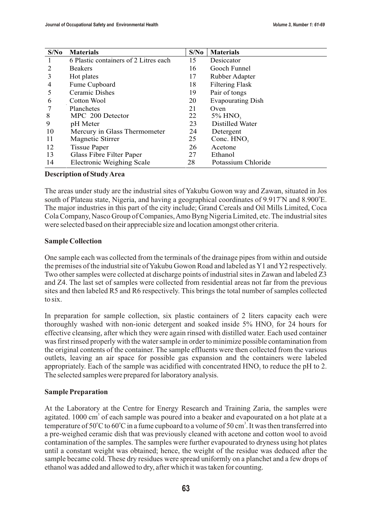| S/No | <b>Materials</b>                      | S/No | <b>Materials</b>         |
|------|---------------------------------------|------|--------------------------|
|      | 6 Plastic containers of 2 Litres each | 15   | Desiccator               |
| 2    | <b>Beakers</b>                        | 16   | Gooch Funnel             |
| 3    | Hot plates                            | 17   | Rubber Adapter           |
| 4    | Fume Cupboard                         | 18   | <b>Filtering Flask</b>   |
| 5    | Ceramic Dishes                        | 19   | Pair of tongs            |
| 6    | Cotton Wool                           | 20   | <b>Evapourating Dish</b> |
| 7    | Planchetes                            | 21   | Oven                     |
| 8    | MPC 200 Detector                      | 22   | $5\%$ HNO <sub>3</sub>   |
| 9    | pH Meter                              | 23   | Distilled Water          |
| 10   | Mercury in Glass Thermometer          | 24   | Detergent                |
| 11   | Magnetic Stirrer                      | 25   | Conc. $HNO3$             |
| 12   | <b>Tissue Paper</b>                   | 26   | Acetone                  |
| 13   | Glass Fibre Filter Paper              | 27   | Ethanol                  |
| 14   | <b>Electronic Weighing Scale</b>      | 28   | Potassium Chloride       |

**Description of Study Area**

The areas under study are the industrial sites of Yakubu Gowon way and Zawan, situated in Jos south of Plateau state, Nigeria, and having a geographical coordinates of  $9.917^{\circ}$ N and  $8.900^{\circ}$ E. The major industries in this part of the city include; Grand Cereals and Oil Mills Limited, Coca Cola Company, Nasco Group of Companies, Amo Byng Nigeria Limited, etc. The industrial sites were selected based on their appreciable size and location amongst other criteria.

#### **Sample Collection**

One sample each was collected from the terminals of the drainage pipes from within and outside the premises of the industrial site of Yakubu Gowon Road and labeled as Y1 and Y2 respectively. Two other samples were collected at discharge points of industrial sites in Zawan and labeled Z3 and Z4. The last set of samples were collected from residential areas not far from the previous sites and then labeled R5 and R6 respectively. This brings the total number of samples collected to six.

In preparation for sample collection, six plastic containers of 2 liters capacity each were thoroughly washed with non-ionic detergent and soaked inside  $5\%$  HNO, for 24 hours for effective cleansing, after which they were again rinsed with distilled water. Each used container was first rinsed properly with the water sample in order to minimize possible contamination from the original contents of the container. The sample effluents were then collected from the various outlets, leaving an air space for possible gas expansion and the containers were labeled appropriately. Each of the sample was acidified with concentrated  $HNO<sub>3</sub>$  to reduce the pH to 2. The selected samples were prepared for laboratory analysis.

### **Sample Preparation**

At the Laboratory at the Centre for Energy Research and Training Zaria, the samples were agitated. 1000 cm<sup>3</sup> of each sample was poured into a beaker and evapourated on a hot plate at a temperature of 50°C to 60°C in a fume cupboard to a volume of 50 cm<sup>3</sup>. It was then transferred into a pre-weighed ceramic dish that was previously cleaned with acetone and cotton wool to avoid contamination of the samples. The samples were further evapourated to dryness using hot plates until a constant weight was obtained; hence, the weight of the residue was deduced after the sample became cold. These dry residues were spread uniformly on a planchet and a few drops of ethanol was added and allowed to dry, after which it was taken for counting.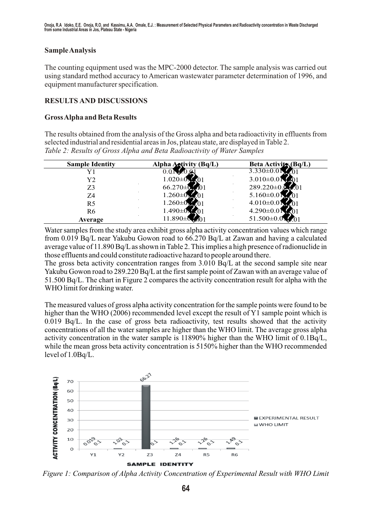### **Sample Analysis**

The counting equipment used was the MPC-2000 detector. The sample analysis was carried out using standard method accuracy to American wastewater parameter determination of 1996, and equipment manufacturer specification.

### **RESULTS AND DISCUSSIONS**

### **Gross Alpha and Beta Results**

The results obtained from the analysis of the Gross alpha and beta radioactivity in effluents from selected industrial and residential areas in Jos, plateau state, are displayed in Table 2. *Table 2: Results of Gross Alpha and Beta Radioactivity of Water Samples*

| <b>Sample Identity</b> | Alpha Activity (Bq/L) | <b>Beta Activity (Bq/L)</b> |
|------------------------|-----------------------|-----------------------------|
|                        | $0.019 \pm 0.01$      | $3.330 \pm 0.01$ 0.01       |
| Y <sub>2</sub>         | $1.020 \pm 0.001$     | $3.010\pm0.01$ 0.01         |
| Z3                     | $66.270 \pm 0.0101$   | 289.220±0.010.01            |
| Z4                     | .260 $\pm$ 0.01.01    | $5.160 \pm 0.01$ 0.01       |
| R <sub>5</sub>         | .260 $\pm$ 0.01.01    | $4.010\pm0.01$ 0.01         |
| R <sub>6</sub>         | .490±0.01.01          | $4.290 \pm 0.01$ 0.01       |
| Average                | $1.890 \pm 0.0101$    | $51.500\pm0.01$ 0.01        |

Water samples from the study area exhibit gross alpha activity concentration values which range from 0.019 Bq/L near Yakubu Gowon road to 66.270 Bq/L at Zawan and having a calculated average value of 11.890 Bq/L as shown in Table 2. This implies a high presence of radionuclide in those effluents and could constitute radioactive hazard to people around there.

The gross beta activity concentration ranges from 3.010 Bq/L at the second sample site near Yakubu Gowon road to 289.220 Bq/L at the first sample point of Zawan with an average value of 51.500 Bq/L. The chart in Figure 2 compares the activity concentration result for alpha with the WHO limit for drinking water.

The measured values of gross alpha activity concentration for the sample points were found to be higher than the WHO (2006) recommended level except the result of Y1 sample point which is 0.019 Bq/L. In the case of gross beta radioactivity, test results showed that the activity concentrations of all the water samples are higher than the WHO limit. The average gross alpha activity concentration in the water sample is 11890% higher than the WHO limit of 0.1Bq/L, while the mean gross beta activity concentration is 5150% higher than the WHO recommended level of 1.0Bq/L.



*Figure 1: Comparison of Alpha Activity Concentration of Experimental Result with WHO Limit*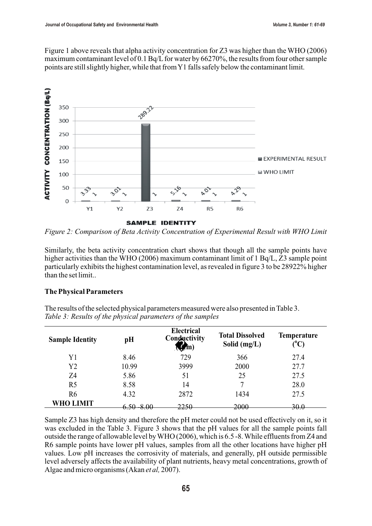Figure 1 above reveals that alpha activity concentration for Z3 was higher than the WHO (2006) maximum contaminant level of 0.1 Bq/L for water by 66270%, the results from four other sample points are still slightly higher, while that from Y1 falls safely below the contaminant limit.



*Figure 2: Comparison of Beta Activity Concentration of Experimental Result with WHO Limit*

Similarly, the beta activity concentration chart shows that though all the sample points have higher activities than the WHO (2006) maximum contaminant limit of 1 Bq/L, Z3 sample point particularly exhibits the highest contamination level, as revealed in figure 3 to be 28922% higher than the set limit..

### **The Physical Parameters**

The results of the selected physical parameters measured were also presented in Table 3. *Table 3: Results of the physical parameters of the samples*

| <b>Sample Identity</b> | pH                                    | Electrical<br>Conductivity<br>(s/cm) | <b>Total Dissolved</b><br>Solid $(mg/L)$ | <b>Temperature</b><br>$({}^0C)$ |
|------------------------|---------------------------------------|--------------------------------------|------------------------------------------|---------------------------------|
| Y1                     | 8.46                                  | 729                                  | 366                                      | 27.4                            |
| Y <sub>2</sub>         | 10.99                                 | 3999                                 | 2000                                     | 27.7                            |
| Z4                     | 5.86                                  | 51                                   | 25                                       | 27.5                            |
| R <sub>5</sub>         | 8.58                                  | 14                                   | −                                        | 28.0                            |
| R <sub>6</sub>         | 4.32                                  | 2872                                 | 1434                                     | 27.5                            |
| <b>WHO LIMIT</b>       | $6.50 - 8.00$<br><del>0.J0 0.00</del> | 2250                                 | 2000                                     | 30.0                            |

Sample Z3 has high density and therefore the pH meter could not be used effectively on it, so it was excluded in the Table 3. Figure 3 shows that the pH values for all the sample points fall outside the range of allowable level by WHO (2006), which is 6.5 -8. While effluents from Z4 and R6 sample points have lower pH values, samples from all the other locations have higher pH values. Low pH increases the corrosivity of materials, and generally, pH outside permissible level adversely affects the availability of plant nutrients, heavy metal concentrations, growth of Algae and micro organisms (Akan *et al,* 2007).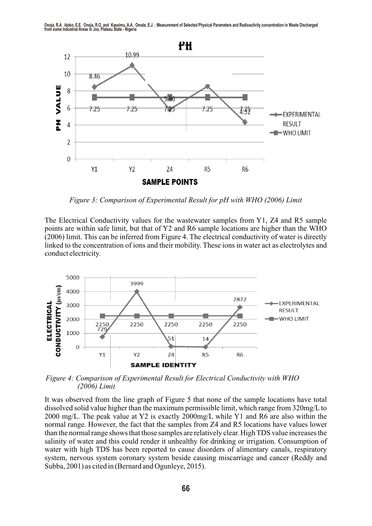

*Figure 3: Comparison of Experimental Result for pH with WHO (2006) Limit*

The Electrical Conductivity values for the wastewater samples from Y1, Z4 and R5 sample points are within safe limit, but that of Y2 and R6 sample locations are higher than the WHO (2006) limit. This can be inferred from Figure 4. The electrical conductivity of water is directly linked to the concentration of ions and their mobility. These ions in water act as electrolytes and conduct electricity.



*Figure 4: Comparison of Experimental Result for Electrical Conductivity with WHO (2006) Limit*

It was observed from the line graph of Figure 5 that none of the sample locations have total dissolved solid value higher than the maximum permissible limit, which range from 320mg/L to 2000 mg/L. The peak value at Y2 is exactly 2000mg/L while Y1 and R6 are also within the normal range. However, the fact that the samples from Z4 and R5 locations have values lower than the normal range shows that those samples are relatively clear. High TDS value increases the salinity of water and this could render it unhealthy for drinking or irrigation. Consumption of water with high TDS has been reported to cause disorders of alimentary canals, respiratory system, nervous system coronary system beside causing miscarriage and cancer (Reddy and Subba, 2001) as cited in (Bernard and Ogunleye, 2015).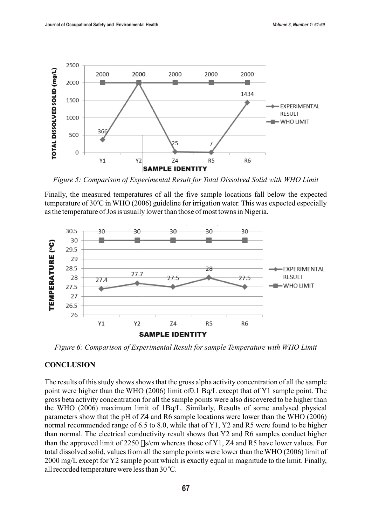

*Figure 5: Comparison of Experimental Result for Total Dissolved Solid with WHO Limit*

Finally, the measured temperatures of all the five sample locations fall below the expected temperature of 30°C in WHO (2006) guideline for irrigation water. This was expected especially as the temperature of Jos is usually lower than those of most towns in Nigeria.



*Figure 6: Comparison of Experimental Result for sample Temperature with WHO Limit*

#### **CONCLUSION**

The results of this study shows shows that the gross alpha activity concentration of all the sample point were higher than the WHO (2006) limit of0.1 Bq/L except that of Y1 sample point. The gross beta activity concentration for all the sample points were also discovered to be higher than the WHO (2006) maximum limit of 1Bq/L. Similarly, Results of some analysed physical parameters show that the pH of Z4 and R6 sample locations were lower than the WHO (2006) normal recommended range of 6.5 to 8.0, while that of Y1, Y2 and R5 were found to be higher than normal. The electrical conductivity result shows that Y2 and R6 samples conduct higher than the approved limit of 2250  $\sqrt{250}$  m whereas those of Y1, Z4 and R5 have lower values. For total dissolved solid, values from all the sample points were lower than the WHO (2006) limit of 2000 mg/L except for Y2 sample point which is exactly equal in magnitude to the limit. Finally, all recorded temperature were less than 30 °C.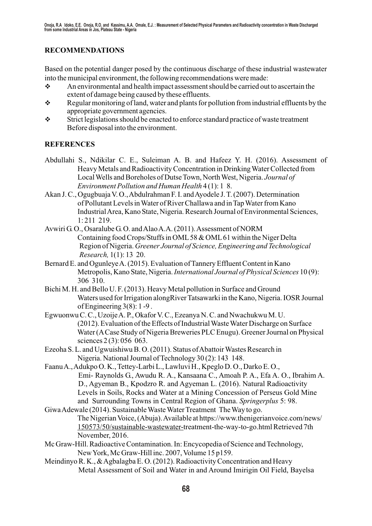# **RECOMMENDATIONS**

Based on the potential danger posed by the continuous discharge of these industrial wastewater into the municipal environment, the following recommendations were made:

- $\cdot$  An environmental and health impact assessment should be carried out to ascertain the extent of damage being caused by these effluents.
- $\div$  Regular monitoring of land, water and plants for pollution from industrial effluents by the appropriate government agencies.
- \* Strict legislations should be enacted to enforce standard practice of waste treatment Before disposal into the environment.

# **REFERENCES**

- Abdullahi S., Ndikilar C. E., Suleiman A. B. and Hafeez Y. H. (2016). Assessment of Heavy Metals and Radioactivity Concentration in Drinking Water Collected from Local Wells and Boreholes of Dutse Town, North West, Nigeria. *Journal of Environment Pollution and Human Health* 4 (1): 1 8.
- Akan J. C., Ogugbuaja V. O., Abdulrahman F. I. and Ayodele J. T. (2007). Determination of Pollutant Levels in Water of River Challawa and in Tap Water from Kano Industrial Area, Kano State, Nigeria. Research Journal of Environmental Sciences, 1: 211 219.
- Avwiri G. O., Osaralube G. O. and Alao A.A. (2011). Assessment of NORM Containing food Crops/Stuffs in OML 58 & OML 61 within the Niger Delta Region of Nigeria. *Greener Journal of Science, Engineering and Technological Research,* 1(1): 13 20.
- Bernard E. and Ogunleye A. (2015). Evaluation of Tannery Effluent Content in Kano Metropolis, Kano State, Nigeria. *International Journal of Physical Sciences* 10 (9): 306 310.
- Bichi M. H. and Bello U. F. (2013). Heavy Metal pollution in Surface and Ground Waters used for Irrigation alongRiver Tatsawarki in the Kano, Nigeria. IOSR Journal of Engineering 3(8): 1 -9 .
- Egwuonwu C. C., Uzoije A. P., Okafor V. C., Ezeanya N. C. and Nwachukwu M. U. (2012). Evaluation of the Effects of Industrial Waste Water Discharge on Surface Water (A Case Study of Nigeria Breweries PLC Enugu). Greener Journal on Physical sciences 2(3): 056 063.
- Ezeoha S. L. and Ugwuishiwu B. O. (2011). Status of Abattoir Wastes Research in Nigeria. National Journal of Technology 30 (2): 143 148.
- Faanu A., Adukpo O. K., Tettey-Larbi L., Lawluvi H., Kpeglo D. O., Darko E. O., Emi- Raynolds G., Awudu R. A., Kansaana C., Amoah P. A., Efa A. O., Ibrahim A. D., Agyeman B., Kpodzro R. and Agyeman L. (2016). Natural Radioactivity Levels in Soils, Rocks and Water at a Mining Concession of Perseus Gold Mine and Surrounding Towns in Central Region of Ghana. *Springerplus* 5: 98.
- Giwa Adewale (2014). Sustainable Waste Water Treatment The Way to go. The Nigerian Voice, (Abuja). Available at https://www.thenigerianvoice.com/news/ 150573/50/sustainable-wastewater-treatment-the-way-to-go.html Retrieved 7th November, 2016.
- Mc Graw-Hill. Radioactive Contamination. In: Encycopedia of Science and Technology, New York, Mc Graw-Hill inc. 2007, Volume 15 p159.
- Meindinyo R. K., & Agbalagba E. O. (2012). Radioactivity Concentration and Heavy Metal Assessment of Soil and Water in and Around Imirigin Oil Field, Bayelsa